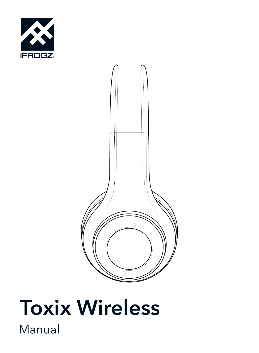



# Manual Toxix Wireless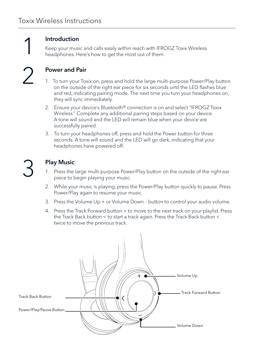1 2

#### Introduction

Keep your music and calls easily within reach with IFROGZ Toxix Wireless headphones. Here's how to get the most out of them.

## Power and Pair

- 1. To turn your Toxix on, press and hold the large multi-purpose Power/Play button on the outside of the right ear piece for six seconds until the LED flashes blue and red, indicating pairing mode. The next time you turn your headphones on, they will sync immediately.
- 2. Ensure your device's Bluetooth® connection is on and select "IFROGZ Toxix Wireless." Complete any additional pairing steps based on your device. A tone will sound and the LED will remain blue when your device are successfully paired.
- 3. To turn your headphones off, press and hold the Power button for three seconds. A tone will sound and the LED will go dark, indicating that your headphones have powered off.

| I<br>× |              |
|--------|--------------|
|        |              |
|        | ٦<br>I<br>۰. |

## Play Music

- 1. Press the large multi-purpose Power/Play button on the outside of the right ear piece to begin playing your music.
- 2. While your music is playing, press the Power/Play button quickly to pause. Press Power/Play again to resume your music.
- 3. Press the Volume Up + or Volume Down button to control your audio volume.
- 4. Press the Track Forward button > to move to the next track on your playlist. Press the Track Back button < to start a track again. Press the Track Back button < twice to move the previous track.

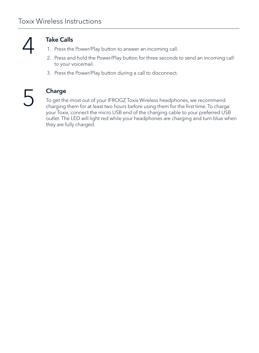

## Take Calls

- 1. Press the Power/Play button to answer an incoming call.
- 2. Press and hold the Power/Play button for three seconds to send an incoming call to your voicemail.
- 3. Press the Power/Play button during a call to disconnect.

5

### Charge

To get the most out of your IFROGZ Toxix Wireless headphones, we recommend charging them for at least two hours before using them for the first time. To charge your Toxix, connect the micro USB end of the charging cable to your preferred USB outlet. The LED will light red while your headphones are charging and turn blue when they are fully charged.